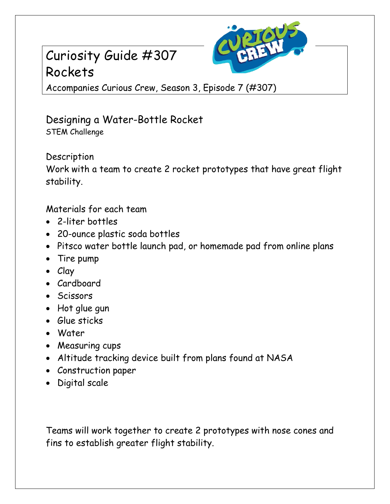## Curiosity Guide #307 **Rockets**



Accompanies Curious Crew, Season 3, Episode 7 (#307)

Designing a Water-Bottle Rocket STEM Challenge

**Description** 

Work with a team to create 2 rocket prototypes that have great flight stability.

Materials for each team

- 2-liter bottles
- 20-ounce plastic soda bottles
- Pitsco water bottle launch pad, or homemade pad from online plans
- Tire pump
- Clay
- Cardboard
- Scissors
- Hot glue gun
- Glue sticks
- Water
- Measuring cups
- Altitude tracking device built from plans found at NASA
- Construction paper
- Digital scale

Teams will work together to create 2 prototypes with nose cones and fins to establish greater flight stability.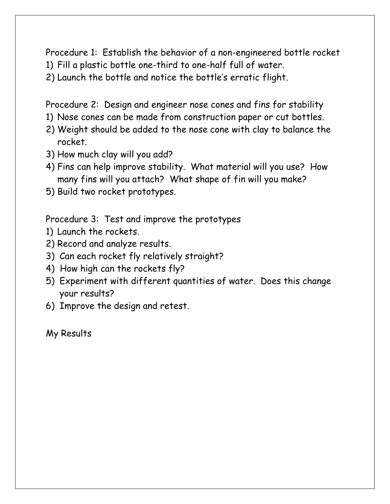Procedure 1: Establish the behavior of a non-engineered bottle rocket

1) Fill a plastic bottle one-third to one-half full of water.

2) Launch the bottle and notice the bottle's erratic flight.

Procedure 2: Design and engineer nose cones and fins for stability

- 1) Nose cones can be made from construction paper or cut bottles.
- 2) Weight should be added to the nose cone with clay to balance the rocket.
- 3) How much clay will you add?
- 4) Fins can help improve stability. What material will you use? How many fins will you attach? What shape of fin will you make?
- 5) Build two rocket prototypes.

Procedure 3: Test and improve the prototypes

- 1) Launch the rockets.
- 2) Record and analyze results.
- 3) Can each rocket fly relatively straight?
- 4) How high can the rockets fly?
- 5) Experiment with different quantities of water. Does this change your results?
- 6) Improve the design and retest.

My Results